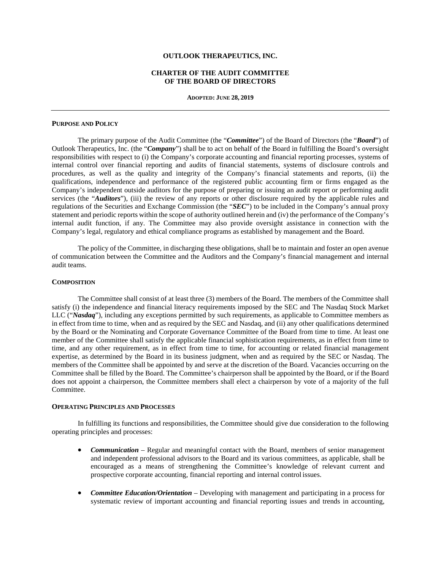### **OUTLOOK THERAPEUTICS, INC.**

# **CHARTER OF THE AUDIT COMMITTEE OF THE BOARD OF DIRECTORS**

**ADOPTED: JUNE 28, 2019**

### **PURPOSE AND POLICY**

The primary purpose of the Audit Committee (the "*Committee*") of the Board of Directors (the "*Board*") of Outlook Therapeutics, Inc. (the "*Company*") shall be to act on behalf of the Board in fulfilling the Board's oversight responsibilities with respect to (i) the Company's corporate accounting and financial reporting processes, systems of internal control over financial reporting and audits of financial statements, systems of disclosure controls and procedures, as well as the quality and integrity of the Company's financial statements and reports, (ii) the qualifications, independence and performance of the registered public accounting firm or firms engaged as the Company's independent outside auditors for the purpose of preparing or issuing an audit report or performing audit services (the "*Auditors*"), (iii) the review of any reports or other disclosure required by the applicable rules and regulations of the Securities and Exchange Commission (the "*SEC*") to be included in the Company's annual proxy statement and periodic reports within the scope of authority outlined herein and (iv) the performance of the Company's internal audit function, if any. The Committee may also provide oversight assistance in connection with the Company's legal, regulatory and ethical compliance programs as established by management and the Board.

The policy of the Committee, in discharging these obligations, shall be to maintain and foster an open avenue of communication between the Committee and the Auditors and the Company's financial management and internal audit teams.

# **COMPOSITION**

The Committee shall consist of at least three (3) members of the Board. The members of the Committee shall satisfy (i) the independence and financial literacy requirements imposed by the SEC and The Nasdaq Stock Market LLC ("*Nasdaq*"), including any exceptions permitted by such requirements, as applicable to Committee members as in effect from time to time, when and as required by the SEC and Nasdaq, and (ii) any other qualifications determined by the Board or the Nominating and Corporate Governance Committee of the Board from time to time. At least one member of the Committee shall satisfy the applicable financial sophistication requirements, as in effect from time to time, and any other requirement, as in effect from time to time, for accounting or related financial management expertise, as determined by the Board in its business judgment, when and as required by the SEC or Nasdaq. The members of the Committee shall be appointed by and serve at the discretion of the Board. Vacancies occurring on the Committee shall be filled by the Board. The Committee's chairperson shall be appointed by the Board, or if the Board does not appoint a chairperson, the Committee members shall elect a chairperson by vote of a majority of the full Committee.

#### **OPERATING PRINCIPLES AND PROCESSES**

In fulfilling its functions and responsibilities, the Committee should give due consideration to the following operating principles and processes:

- *Communication* Regular and meaningful contact with the Board, members of senior management and independent professional advisors to the Board and its various committees, as applicable, shall be encouraged as a means of strengthening the Committee's knowledge of relevant current and prospective corporate accounting, financial reporting and internal control issues.
- *Committee Education/Orientation Developing with management and participating in a process for* systematic review of important accounting and financial reporting issues and trends in accounting,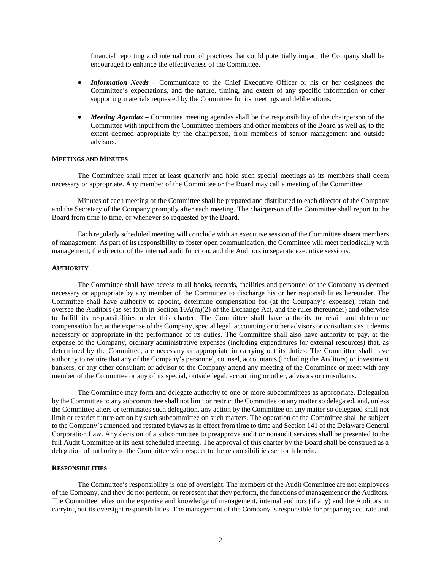financial reporting and internal control practices that could potentially impact the Company shall be encouraged to enhance the effectiveness of the Committee.

- *Information Needs* Communicate to the Chief Executive Officer or his or her designees the Committee's expectations, and the nature, timing, and extent of any specific information or other supporting materials requested by the Committee for its meetings and deliberations.
- *Meeting Agendas* Committee meeting agendas shall be the responsibility of the chairperson of the Committee with input from the Committee members and other members of the Board as well as, to the extent deemed appropriate by the chairperson, from members of senior management and outside advisors.

# **MEETINGS AND MINUTES**

The Committee shall meet at least quarterly and hold such special meetings as its members shall deem necessary or appropriate. Any member of the Committee or the Board may call a meeting of the Committee.

Minutes of each meeting of the Committee shall be prepared and distributed to each director of the Company and the Secretary of the Company promptly after each meeting. The chairperson of the Committee shall report to the Board from time to time, or whenever so requested by the Board.

Each regularly scheduled meeting will conclude with an executive session of the Committee absent members of management. As part of its responsibility to foster open communication, the Committee will meet periodically with management, the director of the internal audit function, and the Auditors in separate executive sessions.

### **AUTHORITY**

The Committee shall have access to all books, records, facilities and personnel of the Company as deemed necessary or appropriate by any member of the Committee to discharge his or her responsibilities hereunder. The Committee shall have authority to appoint, determine compensation for (at the Company's expense), retain and oversee the Auditors (as set forth in Section 10A(m)(2) of the Exchange Act, and the rules thereunder) and otherwise to fulfill its responsibilities under this charter. The Committee shall have authority to retain and determine compensation for, at the expense of the Company, special legal, accounting or other advisors or consultants as it deems necessary or appropriate in the performance of its duties. The Committee shall also have authority to pay, at the expense of the Company, ordinary administrative expenses (including expenditures for external resources) that, as determined by the Committee, are necessary or appropriate in carrying out its duties. The Committee shall have authority to require that any of the Company's personnel, counsel, accountants (including the Auditors) or investment bankers, or any other consultant or advisor to the Company attend any meeting of the Committee or meet with any member of the Committee or any of its special, outside legal, accounting or other, advisors or consultants.

The Committee may form and delegate authority to one or more subcommittees as appropriate. Delegation by the Committee to any subcommittee shall not limit or restrict the Committee on any matter so delegated, and, unless the Committee alters or terminates such delegation, any action by the Committee on any matter so delegated shall not limit or restrict future action by such subcommittee on such matters. The operation of the Committee shall be subject to the Company's amended and restated bylaws as in effect from time to time and Section 141 of the Delaware General Corporation Law. Any decision of a subcommittee to preapprove audit or nonaudit services shall be presented to the full Audit Committee at its next scheduled meeting. The approval of this charter by the Board shall be construed as a delegation of authority to the Committee with respect to the responsibilities set forth herein.

# **RESPONSIBILITIES**

The Committee's responsibility is one of oversight. The members of the Audit Committee are not employees of the Company, and they do not perform, or represent that they perform, the functions of management or the Auditors. The Committee relies on the expertise and knowledge of management, internal auditors (if any) and the Auditors in carrying out its oversight responsibilities. The management of the Company is responsible for preparing accurate and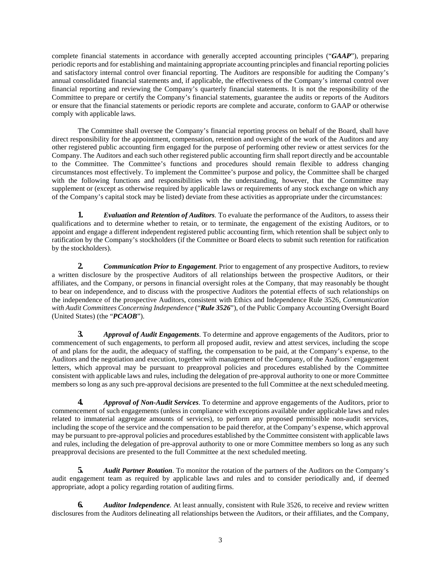complete financial statements in accordance with generally accepted accounting principles ("*GAAP*"), preparing periodic reports and for establishing and maintaining appropriate accounting principles and financial reporting policies and satisfactory internal control over financial reporting. The Auditors are responsible for auditing the Company's annual consolidated financial statements and, if applicable, the effectiveness of the Company's internal control over financial reporting and reviewing the Company's quarterly financial statements. It is not the responsibility of the Committee to prepare or certify the Company's financial statements, guarantee the audits or reports of the Auditors or ensure that the financial statements or periodic reports are complete and accurate, conform to GAAP or otherwise comply with applicable laws.

The Committee shall oversee the Company's financial reporting process on behalf of the Board, shall have direct responsibility for the appointment, compensation, retention and oversight of the work of the Auditors and any other registered public accounting firm engaged for the purpose of performing other review or attest services for the Company. The Auditors and each such other registered public accounting firm shall report directly and be accountable to the Committee. The Committee's functions and procedures should remain flexible to address changing circumstances most effectively. To implement the Committee's purpose and policy, the Committee shall be charged with the following functions and responsibilities with the understanding, however, that the Committee may supplement or (except as otherwise required by applicable laws or requirements of any stock exchange on which any of the Company's capital stock may be listed) deviate from these activities as appropriate under the circumstances:

**1.** *Evaluation and Retention of Auditors.* To evaluate the performance of the Auditors, to assess their qualifications and to determine whether to retain, or to terminate, the engagement of the existing Auditors, or to appoint and engage a different independent registered public accounting firm, which retention shall be subject only to ratification by the Company's stockholders (if the Committee or Board elects to submit such retention for ratification by the stockholders).

**2.** *Communication Prior to Engagement*. Prior to engagement of any prospective Auditors, to review a written disclosure by the prospective Auditors of all relationships between the prospective Auditors, or their affiliates, and the Company, or persons in financial oversight roles at the Company, that may reasonably be thought to bear on independence, and to discuss with the prospective Auditors the potential effects of such relationships on the independence of the prospective Auditors, consistent with Ethics and Independence Rule 3526, *Communication with Audit Committees Concerning Independence* ("*Rule 3526*"), of the Public Company Accounting Oversight Board (United States) (the "*PCAOB*").

**3.** *Approval of Audit Engagements*. To determine and approve engagements of the Auditors, prior to commencement of such engagements, to perform all proposed audit, review and attest services, including the scope of and plans for the audit, the adequacy of staffing, the compensation to be paid, at the Company's expense, to the Auditors and the negotiation and execution, together with management of the Company, of the Auditors' engagement letters, which approval may be pursuant to preapproval policies and procedures established by the Committee consistent with applicable laws and rules, including the delegation of pre-approval authority to one or more Committee members so long as any such pre-approval decisions are presented to the full Committee at the next scheduledmeeting.

**4.** *Approval of Non-Audit Services*. To determine and approve engagements of the Auditors, prior to commencement of such engagements (unless in compliance with exceptions available under applicable laws and rules related to immaterial aggregate amounts of services), to perform any proposed permissible non-audit services, including the scope of the service and the compensation to be paid therefor, at the Company's expense, which approval may be pursuant to pre-approval policies and procedures established by the Committee consistent with applicable laws and rules, including the delegation of pre-approval authority to one or more Committee members so long as any such preapproval decisions are presented to the full Committee at the next scheduled meeting.

**5.** *Audit Partner Rotation*. To monitor the rotation of the partners of the Auditors on the Company's audit engagement team as required by applicable laws and rules and to consider periodically and, if deemed appropriate, adopt a policy regarding rotation of auditing firms.

**6.** *Auditor Independence.* At least annually, consistent with Rule 3526, to receive and review written disclosures from the Auditors delineating all relationships between the Auditors, or their affiliates, and the Company,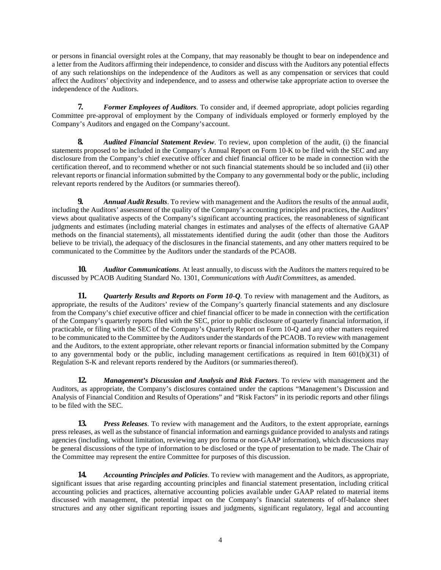or persons in financial oversight roles at the Company, that may reasonably be thought to bear on independence and a letter from the Auditors affirming their independence, to consider and discuss with the Auditors any potential effects of any such relationships on the independence of the Auditors as well as any compensation or services that could affect the Auditors' objectivity and independence, and to assess and otherwise take appropriate action to oversee the independence of the Auditors.

**7.** *Former Employees of Auditors*. To consider and, if deemed appropriate, adopt policies regarding Committee pre-approval of employment by the Company of individuals employed or formerly employed by the Company's Auditors and engaged on the Company's account.

**8.** *Audited Financial Statement Review*. To review, upon completion of the audit, (i) the financial statements proposed to be included in the Company's Annual Report on Form 10-K to be filed with the SEC and any disclosure from the Company's chief executive officer and chief financial officer to be made in connection with the certification thereof, and to recommend whether or not such financial statements should be so included and (ii) other relevant reports or financial information submitted by the Company to any governmental body or the public, including relevant reports rendered by the Auditors (or summaries thereof).

**9.** *Annual Audit Results*. To review with management and the Auditors the results of the annual audit, including the Auditors' assessment of the quality of the Company's accounting principles and practices, the Auditors' views about qualitative aspects of the Company's significant accounting practices, the reasonableness of significant judgments and estimates (including material changes in estimates and analyses of the effects of alternative GAAP methods on the financial statements), all misstatements identified during the audit (other than those the Auditors believe to be trivial), the adequacy of the disclosures in the financial statements, and any other matters required to be communicated to the Committee by the Auditors under the standards of the PCAOB.

**10.** *Auditor Communications*. At least annually, to discuss with the Auditors the matters required to be discussed by PCAOB Auditing Standard No. 1301, *Communications with AuditCommittees*, as amended.

**11.** *Quarterly Results and Reports on Form 10-Q.* To review with management and the Auditors, as appropriate, the results of the Auditors' review of the Company's quarterly financial statements and any disclosure from the Company's chief executive officer and chief financial officer to be made in connection with the certification of the Company's quarterly reports filed with the SEC, prior to public disclosure of quarterly financial information, if practicable, or filing with the SEC of the Company's Quarterly Report on Form 10-Q and any other matters required to be communicated to the Committee by the Auditors under the standards of the PCAOB. To review with management and the Auditors, to the extent appropriate, other relevant reports or financial information submitted by the Company to any governmental body or the public, including management certifications as required in Item 601(b)(31) of Regulation S-K and relevant reports rendered by the Auditors (or summariesthereof).

**12.** *Management's Discussion and Analysis and Risk Factors*. To review with management and the Auditors, as appropriate, the Company's disclosures contained under the captions "Management's Discussion and Analysis of Financial Condition and Results of Operations" and "Risk Factors" in its periodic reports and other filings to be filed with the SEC.

**13.** *Press Releases*. To review with management and the Auditors, to the extent appropriate, earnings press releases, as well as the substance of financial information and earnings guidance provided to analysts and ratings agencies (including, without limitation, reviewing any pro forma or non-GAAP information), which discussions may be general discussions of the type of information to be disclosed or the type of presentation to be made. The Chair of the Committee may represent the entire Committee for purposes of this discussion.

**14.** *Accounting Principles and Policies*. To review with management and the Auditors, as appropriate, significant issues that arise regarding accounting principles and financial statement presentation, including critical accounting policies and practices, alternative accounting policies available under GAAP related to material items discussed with management, the potential impact on the Company's financial statements of off-balance sheet structures and any other significant reporting issues and judgments, significant regulatory, legal and accounting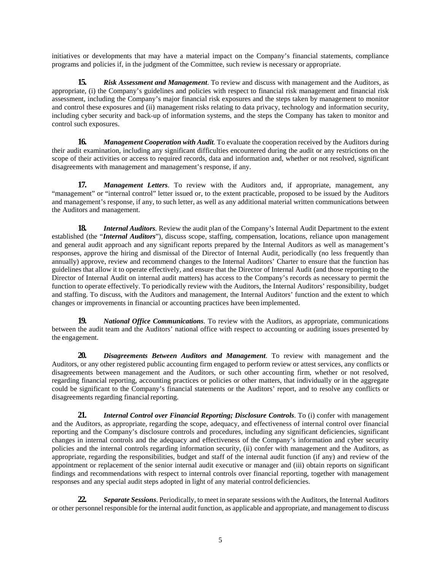initiatives or developments that may have a material impact on the Company's financial statements, compliance programs and policies if, in the judgment of the Committee, such review is necessary or appropriate.

**15.** *Risk Assessment and Management*. To review and discuss with management and the Auditors, as appropriate, (i) the Company's guidelines and policies with respect to financial risk management and financial risk assessment, including the Company's major financial risk exposures and the steps taken by management to monitor and control these exposures and (ii) management risks relating to data privacy, technology and information security, including cyber security and back-up of information systems, and the steps the Company has taken to monitor and control such exposures.

**16.** *Management Cooperation with Audit.* To evaluate the cooperation received by the Auditors during their audit examination, including any significant difficulties encountered during the audit or any restrictions on the scope of their activities or access to required records, data and information and, whether or not resolved, significant disagreements with management and management's response, if any.

**17.** *Management Letters*. To review with the Auditors and, if appropriate, management, any "management" or "internal control" letter issued or, to the extent practicable, proposed to be issued by the Auditors and management's response, if any, to such letter, as well as any additional material written communications between the Auditors and management.

**18.** *Internal Auditors.* Review the audit plan of the Company's Internal Audit Department to the extent established (the "*Internal Auditors*"), discuss scope, staffing, compensation, locations, reliance upon management and general audit approach and any significant reports prepared by the Internal Auditors as well as management's responses, approve the hiring and dismissal of the Director of Internal Audit, periodically (no less frequently than annually) approve, review and recommend changes to the Internal Auditors' Charter to ensure that the function has guidelines that allow it to operate effectively, and ensure that the Director of Internal Audit (and those reporting to the Director of Internal Audit on internal audit matters) has access to the Company's records as necessary to permit the function to operate effectively. To periodically review with the Auditors, the Internal Auditors' responsibility, budget and staffing. To discuss, with the Auditors and management, the Internal Auditors' function and the extent to which changes or improvements in financial or accounting practices have been implemented.

**19.** *National Office Communications*. To review with the Auditors, as appropriate, communications between the audit team and the Auditors' national office with respect to accounting or auditing issues presented by the engagement.

**20.** *Disagreements Between Auditors and Management*. To review with management and the Auditors, or any other registered public accounting firm engaged to perform review or attest services, any conflicts or disagreements between management and the Auditors, or such other accounting firm, whether or not resolved, regarding financial reporting, accounting practices or policies or other matters, that individually or in the aggregate could be significant to the Company's financial statements or the Auditors' report, and to resolve any conflicts or disagreements regarding financial reporting.

**21.** *Internal Control over Financial Reporting; Disclosure Controls*. To (i) confer with management and the Auditors, as appropriate, regarding the scope, adequacy, and effectiveness of internal control over financial reporting and the Company's disclosure controls and procedures, including any significant deficiencies, significant changes in internal controls and the adequacy and effectiveness of the Company's information and cyber security policies and the internal controls regarding information security, (ii) confer with management and the Auditors, as appropriate, regarding the responsibilities, budget and staff of the internal audit function (if any) and review of the appointment or replacement of the senior internal audit executive or manager and (iii) obtain reports on significant findings and recommendations with respect to internal controls over financial reporting, together with management responses and any special audit steps adopted in light of any material control deficiencies.

**22.** *Separate Sessions*. Periodically, to meet in separate sessions with the Auditors, the Internal Auditors or other personnel responsible for the internal audit function, as applicable and appropriate, and management to discuss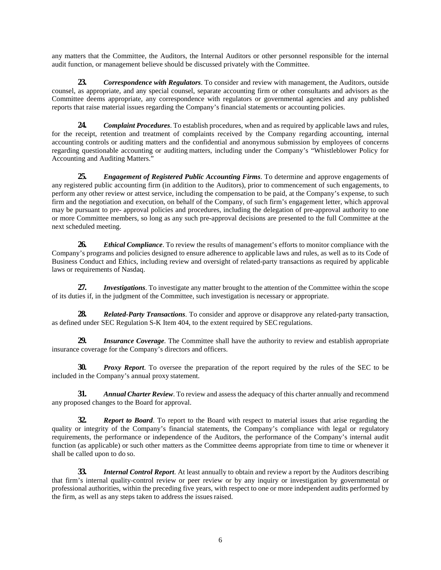any matters that the Committee, the Auditors, the Internal Auditors or other personnel responsible for the internal audit function, or management believe should be discussed privately with the Committee.

**23.** *Correspondence with Regulators*. To consider and review with management, the Auditors, outside counsel, as appropriate, and any special counsel, separate accounting firm or other consultants and advisors as the Committee deems appropriate, any correspondence with regulators or governmental agencies and any published reports that raise material issues regarding the Company's financial statements or accounting policies.

**24.** *Complaint Procedures*. To establish procedures, when and as required by applicable laws and rules, for the receipt, retention and treatment of complaints received by the Company regarding accounting, internal accounting controls or auditing matters and the confidential and anonymous submission by employees of concerns regarding questionable accounting or auditing matters, including under the Company's "Whistleblower Policy for Accounting and Auditing Matters."

**25.** *Engagement of Registered Public Accounting Firms*. To determine and approve engagements of any registered public accounting firm (in addition to the Auditors), prior to commencement of such engagements, to perform any other review or attest service, including the compensation to be paid, at the Company's expense, to such firm and the negotiation and execution, on behalf of the Company, of such firm's engagement letter, which approval may be pursuant to pre- approval policies and procedures, including the delegation of pre-approval authority to one or more Committee members, so long as any such pre-approval decisions are presented to the full Committee at the next scheduled meeting.

**26.** *Ethical Compliance*. To review the results of management's efforts to monitor compliance with the Company's programs and policies designed to ensure adherence to applicable laws and rules, as well as to its Code of Business Conduct and Ethics, including review and oversight of related-party transactions as required by applicable laws or requirements of Nasdaq.

**27.** *Investigations*. To investigate any matter brought to the attention of the Committee within the scope of its duties if, in the judgment of the Committee, such investigation is necessary or appropriate.

**28.** *Related-Party Transactions*. To consider and approve or disapprove any related-party transaction, as defined under SEC Regulation S-K Item 404, to the extent required by SECregulations.

**29.** *Insurance Coverage.* The Committee shall have the authority to review and establish appropriate insurance coverage for the Company's directors and officers.

**30.** *Proxy Report*. To oversee the preparation of the report required by the rules of the SEC to be included in the Company's annual proxy statement.

**31.** *Annual Charter Review*. To review and assess the adequacy of this charter annually and recommend any proposed changes to the Board for approval.

**32.** *Report to Board*. To report to the Board with respect to material issues that arise regarding the quality or integrity of the Company's financial statements, the Company's compliance with legal or regulatory requirements, the performance or independence of the Auditors, the performance of the Company's internal audit function (as applicable) or such other matters as the Committee deems appropriate from time to time or whenever it shall be called upon to do so.

**33.** *Internal Control Report*. At least annually to obtain and review a report by the Auditors describing that firm's internal quality-control review or peer review or by any inquiry or investigation by governmental or professional authorities, within the preceding five years, with respect to one or more independent audits performed by the firm, as well as any steps taken to address the issues raised.